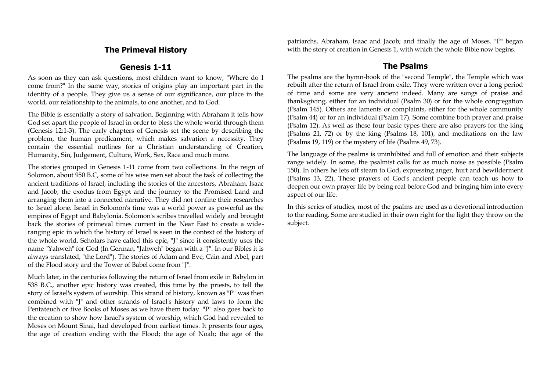## **The Primeval History**

### **Genesis 1-11**

As soon as they can ask questions, most children want to know, "Where do I come from?" In the same way, stories of origins play an important part in the identity of a people. They give us a sense of our significance, our place in the world, our relationship to the animals, to one another, and to God.

The Bible is essentially a story of salvation. Beginning with Abraham it tells how God set apart the people of Israel in order to bless the whole world through them (Genesis 12:1-3). The early chapters of Genesis set the scene by describing the problem, the human predicament, which makes salvation a necessity. They contain the essential outlines for a Christian understanding of Creation, Humanity, Sin, Judgement, Culture, Work, Sex, Race and much more.

The stories grouped in Genesis 1-11 come from two collections. In the reign of Solomon, about 950 B.C, some of his wise men set about the task of collecting the ancient traditions of Israel, including the stories of the ancestors, Abraham, Isaac and Jacob, the exodus from Egypt and the journey to the Promised Land and arranging them into a connected narrative. They did not confine their researches to Israel alone. Israel in Solomon's time was a world power as powerful as the empires of Egypt and Babylonia. Solomon's scribes travelled widely and brought back the stories of primeval times current in the Near East to create a wideranging epic in which the history of Israel is seen in the context of the history of the whole world. Scholars have called this epic, "J" since it consistently uses the name "Yahweh" for God (In German, "Jahweh" began with a "J". In our Bibles it is always translated, "the Lord"). The stories of Adam and Eve, Cain and Abel, part of the Flood story and the Tower of Babel come from "J".

Much later, in the centuries following the return of Israel from exile in Babylon in 538 B.C., another epic history was created, this time by the priests, to tell the story of Israel's system of worship. This strand of history, known as "P" was then combined with "J" and other strands of Israel's history and laws to form the Pentateuch or five Books of Moses as we have them today. "P" also goes back to the creation to show how Israel's system of worship, which God had revealed to Moses on Mount Sinai, had developed from earliest times. It presents four ages, the age of creation ending with the Flood; the age of Noah; the age of the patriarchs, Abraham, Isaac and Jacob; and finally the age of Moses. "P" began with the story of creation in Genesis 1, with which the whole Bible now begins.

### **The Psalms**

The psalms are the hymn-book of the "second Temple", the Temple which was rebuilt after the return of Israel from exile. They were written over a long period of time and some are very ancient indeed. Many are songs of praise and thanksgiving, either for an individual (Psalm 30) or for the whole congregation (Psalm 145). Others are laments or complaints, either for the whole community (Psalm 44) or for an individual (Psalm 17). Some combine both prayer and praise (Psalm 12). As well as these four basic types there are also prayers for the king (Psalms 21, 72) or by the king (Psalms 18, 101), and meditations on the law (Psalms 19, 119) or the mystery of life (Psalms 49, 73).

The language of the psalms is uninhibited and full of emotion and their subjects range widely. In some, the psalmist calls for as much noise as possible (Psalm 150). In others he lets off steam to God, expressing anger, hurt and bewilderment (Psalms 13, 22). These prayers of God's ancient people can teach us how to deepen our own prayer life by being real before God and bringing him into every aspect of our life.

In this series of studies, most of the psalms are used as a devotional introduction to the reading. Some are studied in their own right for the light they throw on the subject.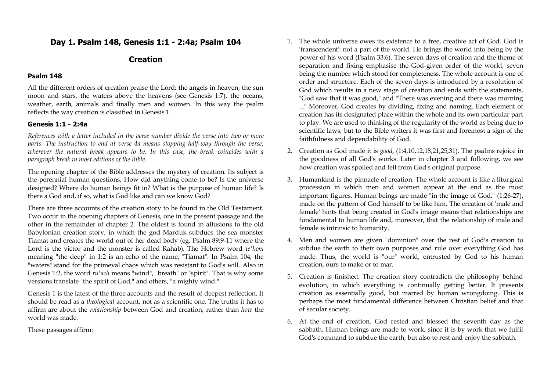## **Day 1. Psalm 148, Genesis 1:1 - 2:4a; Psalm 104**

## **Creation**

### **Psalm 148**

All the different orders of creation praise the Lord: the angels in heaven, the sun moon and stars, the waters above the heavens (see Genesis 1:7), the oceans, weather, earth, animals and finally men and women. In this way the psalm reflects the way creation is classified in Genesis 1.

### **Genesis 1:1 - 2:4a**

*References with a letter included in the verse number divide the verse into two or more parts. The instruction to end at verse 4a means stopping half-way through the verse, wherever the natural break appears to be. In this case, the break coincides with a paragraph break in most editions of the Bible.*

The opening chapter of the Bible addresses the mystery of creation. Its subject is the perennial human questions, How did anything come to be? Is the universe designed? Where do human beings fit in? What is the purpose of human life? Is there a God and, if so, what is God like and can we know God?

There are three accounts of the creation story to be found in the Old Testament. Two occur in the opening chapters of Genesis, one in the present passage and the other in the remainder of chapter 2. The oldest is found in allusions to the old Babylonian creation story, in which the god Marduk subdues the sea monster Tiamat and creates the world out of her dead body (eg. Psalm 89:9-11 where the Lord is the victor and the monster is called Rahab). The Hebrew word *te'hom* meaning "the deep" in 1:2 is an echo of the name, "Tiamat". In Psalm 104, the "waters" stand for the primeval chaos which was resistant to God's will. Also in Genesis 1:2, the word *ru'ach* means "wind", "breath" or "spirit". That is why some versions translate "the spirit of God," and others, "a mighty wind."

Genesis 1 is the latest of the three accounts and the result of deepest reflection. It should be read as a *theological* account, not as a scientific one. The truths it has to affirm are about the *relationship* between God and creation, rather than *how* the world was made.

These passages affirm:

- 1. The whole universe owes its existence to a free, creative act of God. God is 'transcendent': not a part of the world. He brings the world into being by the power of his word (Psalm 33:6). The seven days of creation and the theme of separation and fixing emphasise the God-given order of the world, seven being the number which stood for completeness. The whole account is one of order and structure. Each of the seven days is introduced by a resolution of God which results in a new stage of creation and ends with the statements, "God saw that it was good," and "There was evening and there was morning ..." Moreover, God creates by dividing, fixing and naming. Each element of creation has its designated place within the whole and its own particular part to play. We are used to thinking of the regularity of the world as being due to scientific laws, but to the Bible writers it was first and foremost a sign of the faithfulness and dependability of God.
- 2. Creation as God made it is *good*, (1:4,10,12,18,21,25,31). The psalms rejoice in the goodness of all God's works. Later in chapter 3 and following, we see how creation was spoiled and fell from God's original purpose.
- 3. Humankind is the pinnacle of creation. The whole account is like a liturgical procession in which men and women appear at the end as the most important figures. Human beings are made "in the image of God," (1:26-27), made on the pattern of God himself to be like him. The creation of 'male and female' hints that being created in God's image means that relationships are fundamental to human life and, moreover, that the relationship of male and female is intrinsic to humanity.
- 4. Men and women are given "dominion" over the rest of God's creation to subdue the earth to their own purposes and rule over everything God has made. Thus, the world is "our" world, entrusted by God to his human creation, ours to make or to mar.
- 5. Creation is finished. The creation story contradicts the philosophy behind evolution, in which everything is continually getting better. It presents creation as essentially good, but marred by human wrongdoing. This is perhaps the most fundamental difference between Christian belief and that of secular society.
- 6. At the end of creation, God rested and blessed the seventh day as the sabbath. Human beings are made to work, since it is by work that we fulfil God's command to subdue the earth, but also to rest and enjoy the sabbath.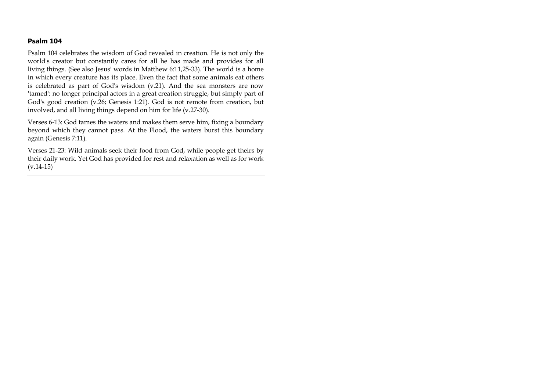### **Psalm 104**

Psalm 104 celebrates the wisdom of God revealed in creation. He is not only the world's creator but constantly cares for all he has made and provides for all living things. (See also Jesus' words in Matthew 6:11,25-33). The world is a home in which every creature has its place. Even the fact that some animals eat others is celebrated as part of God's wisdom (v.21). And the sea monsters are now 'tamed': no longer principal actors in a great creation struggle, but simply part of God's good creation (v.26; Genesis 1:21). God is not remote from creation, but involved, and all living things depend on him for life (v.27-30).

Verses 6-13: God tames the waters and makes them serve him, fixing a boundary beyond which they cannot pass. At the Flood, the waters burst this boundary again (Genesis 7:11).

Verses 21-23: Wild animals seek their food from God, while people get theirs by their daily work. Yet God has provided for rest and relaxation as well as for work  $(v.14-15)$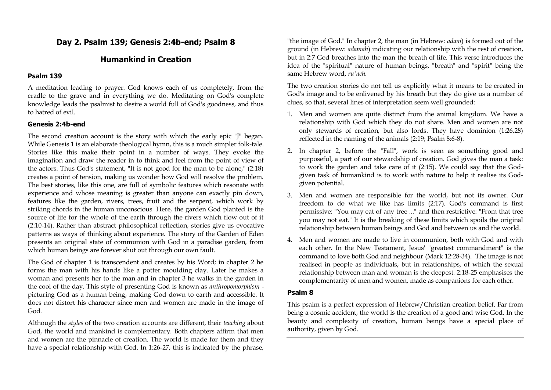## **Day 2. Psalm 139; Genesis 2:4b-end; Psalm 8**

# **Humankind in Creation**

### **Psalm 139**

A meditation leading to prayer. God knows each of us completely, from the cradle to the grave and in everything we do. Meditating on God's complete knowledge leads the psalmist to desire a world full of God's goodness, and thus to hatred of evil.

### **Genesis 2:4b-end**

The second creation account is the story with which the early epic "J" began. While Genesis 1 is an elaborate theological hymn, this is a much simpler folk-tale. Stories like this make their point in a number of ways. They evoke the imagination and draw the reader in to think and feel from the point of view of the actors. Thus God's statement, "It is not good for the man to be alone," (2:18) creates a point of tension, making us wonder how God will resolve the problem. The best stories, like this one, are full of symbolic features which resonate with experience and whose meaning is greater than anyone can exactly pin down, features like the garden, rivers, trees, fruit and the serpent, which work by striking chords in the human unconscious. Here, the garden God planted is the source of life for the whole of the earth through the rivers which flow out of it (2:10-14). Rather than abstract philosophical reflection, stories give us evocative patterns as ways of thinking about experience. The story of the Garden of Eden presents an original state of communion with God in a paradise garden, from which human beings are forever shut out through our own fault.

The God of chapter 1 is transcendent and creates by his Word; in chapter 2 he forms the man with his hands like a potter moulding clay. Later he makes a woman and presents her to the man and in chapter 3 he walks in the garden in the cool of the day. This style of presenting God is known as *anthropomorphism* picturing God as a human being, making God down to earth and accessible. It does not distort his character since men and women are made in the image of God.

Although the *styles* of the two creation accounts are different, their *teaching* about God, the world and mankind is complementary. Both chapters affirm that men and women are the pinnacle of creation. The world is made for them and they have a special relationship with God. In 1:26-27, this is indicated by the phrase, "the image of God." In chapter 2, the man (in Hebrew: *adam*) is formed out of the ground (in Hebrew: *adamah*) indicating our relationship with the rest of creation, but in 2:7 God breathes into the man the breath of life. This verse introduces the idea of the "spiritual" nature of human beings, "breath" and "spirit" being the same Hebrew word, *ru'ach*.

The two creation stories do not tell us explicitly what it means to be created in God's image and to be enlivened by his breath but they do give us a number of clues, so that, several lines of interpretation seem well grounded:

- 1. Men and women are quite distinct from the animal kingdom. We have a relationship with God which they do not share. Men and women are not only stewards of creation, but also lords. They have dominion (1:26,28) reflected in the naming of the animals (2:19; Psalm 8:6-8).
- 2. In chapter 2, before the "Fall", work is seen as something good and purposeful, a part of our stewardship of creation. God gives the man a task: to work the garden and take care of it (2:15). We could say that the Godgiven task of humankind is to work with nature to help it realise its Godgiven potential.
- 3. Men and women are responsible for the world, but not its owner. Our freedom to do what we like has limits (2:17). God's command is first permissive: "You may eat of any tree ..." and then restrictive: "From that tree you may not eat." It is the breaking of these limits which spoils the original relationship between human beings and God and between us and the world.
- 4. Men and women are made to live in communion, both with God and with each other. In the New Testament, Jesus' "greatest commandment" is the command to love both God and neighbour (Mark 12:28-34). The image is not realised in people as individuals, but in relationships, of which the sexual relationship between man and woman is the deepest. 2:18-25 emphasises the complementarity of men and women, made as companions for each other.

#### **Psalm 8**

This psalm is a perfect expression of Hebrew/Christian creation belief. Far from being a cosmic accident, the world is the creation of a good and wise God. In the beauty and complexity of creation, human beings have a special place of authority, given by God.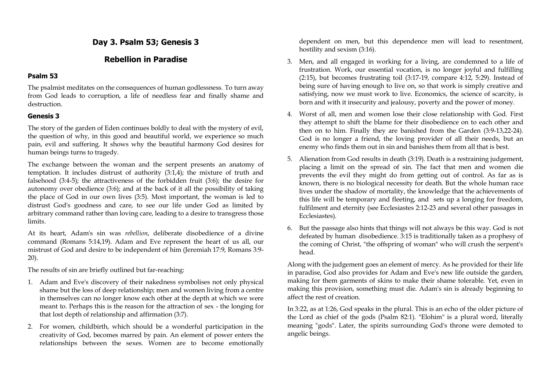## **Day 3. Psalm 53; Genesis 3**

# **Rebellion in Paradise**

### **Psalm 53**

The psalmist meditates on the consequences of human godlessness. To turn away from God leads to corruption, a life of needless fear and finally shame and destruction.

### **Genesis 3**

The story of the garden of Eden continues boldly to deal with the mystery of evil, the question of why, in this good and beautiful world, we experience so much pain, evil and suffering. It shows why the beautiful harmony God desires for human beings turns to tragedy.

The exchange between the woman and the serpent presents an anatomy of temptation. It includes distrust of authority (3:1,4); the mixture of truth and falsehood (3:4-5); the attractiveness of the forbidden fruit (3:6); the desire for autonomy over obedience (3:6); and at the back of it all the possibility of taking the place of God in our own lives (3:5). Most important, the woman is led to distrust God's goodness and care, to see our life under God as limited by arbitrary command rather than loving care, leading to a desire to transgress those limits.

At its heart, Adam's sin was *rebellion*, deliberate disobedience of a divine command (Romans 5:14,19). Adam and Eve represent the heart of us all, our mistrust of God and desire to be independent of him (Jeremiah 17:9, Romans 3:9- 20).

The results of sin are briefly outlined but far-reaching:

- 1. Adam and Eve's discovery of their nakedness symbolises not only physical shame but the loss of deep relationship; men and women living from a centre in themselves can no longer know each other at the depth at which we were meant to. Perhaps this is the reason for the attraction of sex - the longing for that lost depth of relationship and affirmation (3:7).
- 2. For women, childbirth, which should be a wonderful participation in the creativity of God, becomes marred by pain. An element of power enters the relationships between the sexes. Women are to become emotionally

dependent on men, but this dependence men will lead to resentment, hostility and sexism (3:16).

- 3. Men, and all engaged in working for a living, are condemned to a life of frustration. Work, our essential vocation, is no longer joyful and fulfilling (2:15), but becomes frustrating toil (3:17-19, compare 4:12, 5:29). Instead of being sure of having enough to live on, so that work is simply creative and satisfying, now we must work to live. Economics, the science of scarcity, is born and with it insecurity and jealousy, poverty and the power of money.
- 4. Worst of all, men and women lose their close relationship with God. First they attempt to shift the blame for their disobedience on to each other and then on to him. Finally they are banished from the Garden (3:9-13,22-24). God is no longer a friend, the loving provider of all their needs, but an enemy who finds them out in sin and banishes them from all that is best.
- 5. Alienation from God results in death (3:19). Death is a restraining judgement, placing a limit on the spread of sin. The fact that men and women die prevents the evil they might do from getting out of control. As far as is known, there is no biological necessity for death. But the whole human race lives under the shadow of mortality, the knowledge that the achievements of this life will be temporary and fleeting, and sets up a longing for freedom, fulfilment and eternity (see Ecclesiastes 2:12-23 and several other passages in Ecclesiastes).
- 6. But the passage also hints that things will not always be this way. God is not defeated by human disobedience. 3:15 is traditionally taken as a prophesy of the coming of Christ, "the offspring of woman" who will crush the serpent's head.

Along with the judgement goes an element of mercy. As he provided for their life in paradise, God also provides for Adam and Eve's new life outside the garden, making for them garments of skins to make their shame tolerable. Yet, even in making this provision, something must die. Adam's sin is already beginning to affect the rest of creation.

In 3:22, as at 1:26, God speaks in the plural. This is an echo of the older picture of the Lord as chief of the gods (Psalm 82:1). "Elohim" is a plural word, literally meaning "gods". Later, the spirits surrounding God's throne were demoted to angelic beings.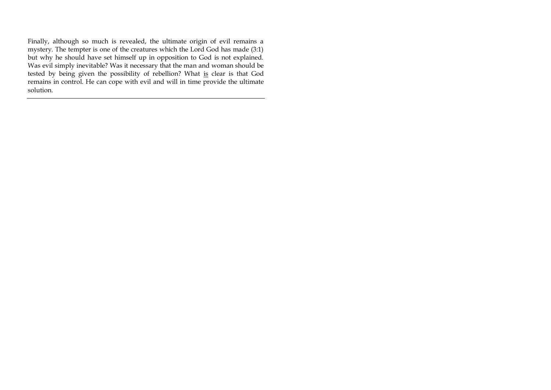Finally, although so much is revealed, the ultimate origin of evil remains a mystery. The tempter is one of the creatures which the Lord God has made (3:1) but why he should have set himself up in opposition to God is not explained. Was evil simply inevitable? Was it necessary that the man and woman should be tested by being given the possibility of rebellion? What is clear is that God remains in control. He can cope with evil and will in time provide the ultimate solution.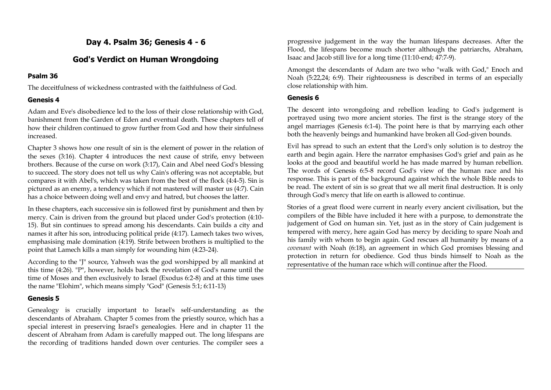# **Day 4. Psalm 36; Genesis 4 - 6**

## **God's Verdict on Human Wrongdoing**

### **Psalm 36**

The deceitfulness of wickedness contrasted with the faithfulness of God.

## **Genesis 4**

Adam and Eve's disobedience led to the loss of their close relationship with God, banishment from the Garden of Eden and eventual death. These chapters tell of how their children continued to grow further from God and how their sinfulness increased.

Chapter 3 shows how one result of sin is the element of power in the relation of the sexes (3:16). Chapter 4 introduces the next cause of strife, envy between brothers. Because of the curse on work (3:17), Cain and Abel need God's blessing to succeed. The story does not tell us why Cain's offering was not acceptable, but compares it with Abel's, which was taken from the best of the flock (4:4-5). Sin is pictured as an enemy, a tendency which if not mastered will master us (4:7). Cain has a choice between doing well and envy and hatred, but chooses the latter.

In these chapters, each successive sin is followed first by punishment and then by mercy. Cain is driven from the ground but placed under God's protection (4:10- 15). But sin continues to spread among his descendants. Cain builds a city and names it after his son, introducing political pride (4:17). Lamech takes two wives, emphasising male domination (4:19). Strife between brothers is multiplied to the point that Lamech kills a man simply for wounding him (4:23-24).

According to the "J" source, Yahweh was the god worshipped by all mankind at this time (4:26). "P", however, holds back the revelation of God's name until the time of Moses and then exclusively to Israel (Exodus 6:2-8) and at this time uses the name "Elohim", which means simply "God" (Genesis 5:1; 6:11-13)

## **Genesis 5**

Genealogy is crucially important to Israel's self-understanding as the descendants of Abraham. Chapter 5 comes from the priestly source, which has a special interest in preserving Israel's genealogies. Here and in chapter 11 the descent of Abraham from Adam is carefully mapped out. The long lifespans are the recording of traditions handed down over centuries. The compiler sees a

progressive judgement in the way the human lifespans decreases. After the Flood, the lifespans become much shorter although the patriarchs, Abraham, Isaac and Jacob still live for a long time (11:10-end; 47:7-9).

Amongst the descendants of Adam are two who "walk with God," Enoch and Noah (5:22,24; 6:9). Their righteousness is described in terms of an especially close relationship with him.

### **Genesis 6**

The descent into wrongdoing and rebellion leading to God's judgement is portrayed using two more ancient stories. The first is the strange story of the angel marriages (Genesis 6:1-4). The point here is that by marrying each other both the heavenly beings and humankind have broken all God-given bounds.

Evil has spread to such an extent that the Lord's only solution is to destroy the earth and begin again. Here the narrator emphasises God's grief and pain as he looks at the good and beautiful world he has made marred by human rebellion. The words of Genesis 6:5-8 record God's view of the human race and his response. This is part of the background against which the whole Bible needs to be read. The extent of sin is so great that we all merit final destruction. It is only through God's mercy that life on earth is allowed to continue.

Stories of a great flood were current in nearly every ancient civilisation, but the compilers of the Bible have included it here with a purpose, to demonstrate the judgement of God on human sin. Yet, just as in the story of Cain judgement is tempered with mercy, here again God has mercy by deciding to spare Noah and his family with whom to begin again. God rescues all humanity by means of a *covenant* with Noah (6:18), an agreement in which God promises blessing and protection in return for obedience. God thus binds himself to Noah as the representative of the human race which will continue after the Flood.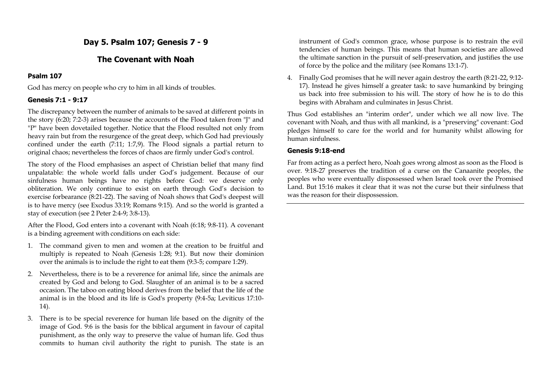# **Day 5. Psalm 107; Genesis 7 - 9**

## **The Covenant with Noah**

### **Psalm 107**

God has mercy on people who cry to him in all kinds of troubles.

### **Genesis 7:1 - 9:17**

The discrepancy between the number of animals to be saved at different points in the story (6:20; 7:2-3) arises because the accounts of the Flood taken from "J" and "P" have been dovetailed together. Notice that the Flood resulted not only from heavy rain but from the resurgence of the great deep, which God had previously confined under the earth (7:11; 1:7,9). The Flood signals a partial return to original chaos; nevertheless the forces of chaos are firmly under God's control.

The story of the Flood emphasises an aspect of Christian belief that many find unpalatable: the whole world falls under God's judgement. Because of our sinfulness human beings have no rights before God: we deserve only obliteration. We only continue to exist on earth through God's decision to exercise forbearance (8:21-22). The saving of Noah shows that God's deepest will is to have mercy (see Exodus 33:19; Romans 9:15). And so the world is granted a stay of execution (see 2 Peter 2:4-9; 3:8-13).

After the Flood, God enters into a covenant with Noah (6:18; 9:8-11). A covenant is a binding agreement with conditions on each side:

- 1. The command given to men and women at the creation to be fruitful and multiply is repeated to Noah (Genesis 1:28; 9:1). But now their dominion over the animals is to include the right to eat them (9:3-5; compare 1:29).
- 2. Nevertheless, there is to be a reverence for animal life, since the animals are created by God and belong to God. Slaughter of an animal is to be a sacred occasion. The taboo on eating blood derives from the belief that the life of the animal is in the blood and its life is God's property (9:4-5a; Leviticus 17:10- 14).
- 3. There is to be special reverence for human life based on the dignity of the image of God. 9:6 is the basis for the biblical argument in favour of capital punishment, as the only way to preserve the value of human life. God thus commits to human civil authority the right to punish. The state is an

instrument of God's common grace, whose purpose is to restrain the evil tendencies of human beings. This means that human societies are allowed the ultimate sanction in the pursuit of self-preservation, and justifies the use of force by the police and the military (see Romans 13:1-7).

4. Finally God promises that he will never again destroy the earth (8:21-22, 9:12- 17). Instead he gives himself a greater task: to save humankind by bringing us back into free submission to his will. The story of how he is to do this begins with Abraham and culminates in Jesus Christ.

Thus God establishes an "interim order", under which we all now live. The covenant with Noah, and thus with all mankind, is a "preserving" covenant: God pledges himself to care for the world and for humanity whilst allowing for human sinfulness.

### **Genesis 9:18-end**

Far from acting as a perfect hero, Noah goes wrong almost as soon as the Flood is over. 9:18-27 preserves the tradition of a curse on the Canaanite peoples, the peoples who were eventually dispossessed when Israel took over the Promised Land. But 15:16 makes it clear that it was not the curse but their sinfulness that was the reason for their dispossession.